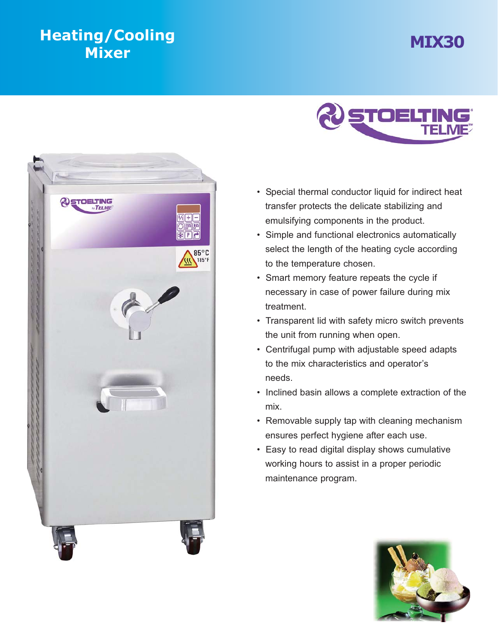## **MIX30 Heating Heating Heating Heating Heating Heating**





- Special thermal conductor liquid for indirect heat transfer protects the delicate stabilizing and emulsifying components in the product.
- Simple and functional electronics automatically select the length of the heating cycle according to the temperature chosen.
- Smart memory feature repeats the cycle if necessary in case of power failure during mix treatment.
- Transparent lid with safety micro switch prevents the unit from running when open.
- Centrifugal pump with adjustable speed adapts to the mix characteristics and operator's needs.
- Inclined basin allows a complete extraction of the mix.
- Removable supply tap with cleaning mechanism ensures perfect hygiene after each use.
- Easy to read digital display shows cumulative working hours to assist in a proper periodic maintenance program.